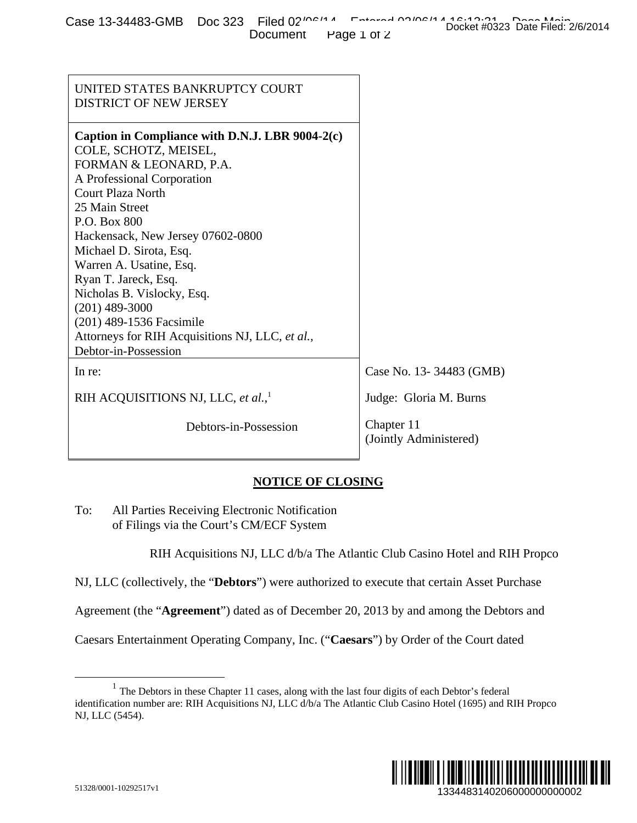| Case 13-34483-GMB Doc 323 Filed 02 <sup>100114</sup> Entered 00100114 10:10:01 Doctor than Disc Elled: 24 |                      |  |  | Docket #0323 Date Filed: 2/6/2014 |
|-----------------------------------------------------------------------------------------------------------|----------------------|--|--|-----------------------------------|
|                                                                                                           | Document Page 1 of 2 |  |  |                                   |

| CASE 10-04400-01WD DUC 020 FIIEU UZ<br>Document                                                                                                                                                                                                                                                                                                                                                                                                                     | Docket #0323 Date Filed: 2/6/2014<br>Page 1 of 2 |
|---------------------------------------------------------------------------------------------------------------------------------------------------------------------------------------------------------------------------------------------------------------------------------------------------------------------------------------------------------------------------------------------------------------------------------------------------------------------|--------------------------------------------------|
|                                                                                                                                                                                                                                                                                                                                                                                                                                                                     |                                                  |
| UNITED STATES BANKRUPTCY COURT<br>DISTRICT OF NEW JERSEY                                                                                                                                                                                                                                                                                                                                                                                                            |                                                  |
| Caption in Compliance with D.N.J. LBR 9004-2(c)<br>COLE, SCHOTZ, MEISEL,<br>FORMAN & LEONARD, P.A.<br>A Professional Corporation<br>Court Plaza North<br>25 Main Street<br>P.O. Box 800<br>Hackensack, New Jersey 07602-0800<br>Michael D. Sirota, Esq.<br>Warren A. Usatine, Esq.<br>Ryan T. Jareck, Esq.<br>Nicholas B. Vislocky, Esq.<br>$(201)$ 489-3000<br>(201) 489-1536 Facsimile<br>Attorneys for RIH Acquisitions NJ, LLC, et al.,<br>Debtor-in-Possession |                                                  |
| In re:                                                                                                                                                                                                                                                                                                                                                                                                                                                              | Case No. 13-34483 (GMB)                          |
| RIH ACQUISITIONS NJ, LLC, et al., <sup>1</sup>                                                                                                                                                                                                                                                                                                                                                                                                                      | Judge: Gloria M. Burns                           |
| Debtors-in-Possession                                                                                                                                                                                                                                                                                                                                                                                                                                               | Chapter 11<br>(Jointly Administered)             |
| <b>NOTICE OF CLOSING</b>                                                                                                                                                                                                                                                                                                                                                                                                                                            |                                                  |
| To:<br>All Parties Receiving Electronic Notification<br>of Filings via the Court's CM/ECF System                                                                                                                                                                                                                                                                                                                                                                    |                                                  |
| RIH Acquisitions NJ, LLC d/b/a The Atlantic Club Casino Hotel and RIH Propco                                                                                                                                                                                                                                                                                                                                                                                        |                                                  |
| NJ, LLC (collectively, the "Debtors") were authorized to execute that certain Asset Purchase                                                                                                                                                                                                                                                                                                                                                                        |                                                  |
| Agreement (the "Agreement") dated as of December 20, 2013 by and among the Debtors and                                                                                                                                                                                                                                                                                                                                                                              |                                                  |
| Caesars Entertainment Operating Company, Inc. ("Caesars") by Order of the Court dated                                                                                                                                                                                                                                                                                                                                                                               |                                                  |
| $1$ The Debtors in these Chapter 11 cases, along with the last four digits of each Debtor's federal<br>identification number are: RIH Acquisitions NJ, LLC d/b/a The Atlantic Club Casino Hotel (1695) and RIH Propco<br>NJ, LLC (5454).                                                                                                                                                                                                                            |                                                  |
| 51328/0001-10292517v1                                                                                                                                                                                                                                                                                                                                                                                                                                               | 1334483140206000000000002                        |

## **NOTICE OF CLOSING**

<sup>&</sup>lt;sup>1</sup> The Debtors in these Chapter 11 cases, along with the last four digits of each Debtor's federal identification number are: RIH Acquisitions NJ, LLC d/b/a The Atlantic Club Casino Hotel (1695) and RIH Propco NJ, LLC (5454).